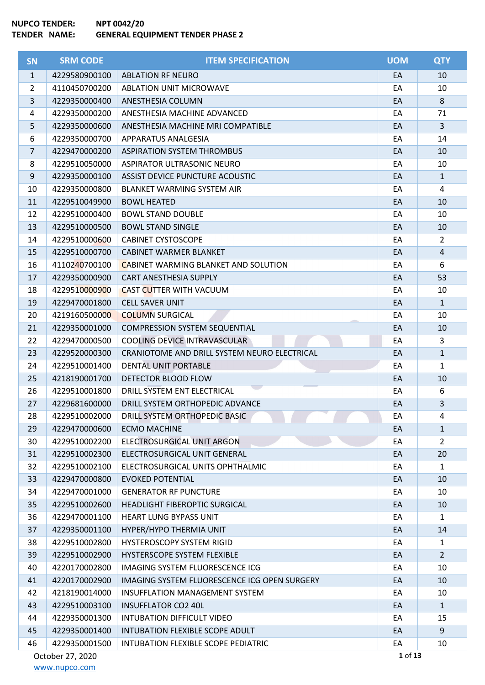| <b>SN</b>      | <b>SRM CODE</b>  | <b>ITEM SPECIFICATION</b>                    | <b>UOM</b> | <b>QTY</b>     |
|----------------|------------------|----------------------------------------------|------------|----------------|
| $\mathbf{1}$   | 4229580900100    | <b>ABLATION RF NEURO</b>                     | EA         | 10             |
| $\overline{2}$ | 4110450700200    | <b>ABLATION UNIT MICROWAVE</b>               | EA         | 10             |
| 3              | 4229350000400    | ANESTHESIA COLUMN                            | EA         | 8              |
| 4              | 4229350000200    | ANESTHESIA MACHINE ADVANCED                  | EA         | 71             |
| 5              | 4229350000600    | ANESTHESIA MACHINE MRI COMPATIBLE            | EA         | $\overline{3}$ |
| 6              | 4229350000700    | <b>APPARATUS ANALGESIA</b>                   | EA         | 14             |
| $\overline{7}$ | 4229470000200    | <b>ASPIRATION SYSTEM THROMBUS</b>            | EA         | 10             |
| 8              | 4229510050000    | ASPIRATOR ULTRASONIC NEURO                   | EA         | 10             |
| $9\,$          | 4229350000100    | ASSIST DEVICE PUNCTURE ACOUSTIC              | EA         | $\mathbf{1}$   |
| 10             | 4229350000800    | <b>BLANKET WARMING SYSTEM AIR</b>            | EA         | $\overline{4}$ |
| 11             | 4229510049900    | <b>BOWL HEATED</b>                           | EA         | 10             |
| 12             | 4229510000400    | <b>BOWL STAND DOUBLE</b>                     | EA         | 10             |
| 13             | 4229510000500    | <b>BOWL STAND SINGLE</b>                     | EA         | 10             |
| 14             | 4229510000600    | <b>CABINET CYSTOSCOPE</b>                    | EA         | $\overline{2}$ |
| 15             | 4229510000700    | CABINET WARMER BLANKET                       | EA         | $\overline{4}$ |
| 16             | 4110240700100    | <b>CABINET WARMING BLANKET AND SOLUTION</b>  | EA         | 6              |
| 17             | 4229350000900    | CART ANESTHESIA SUPPLY                       | EA         | 53             |
| 18             | 4229510000900    | <b>CAST CUTTER WITH VACUUM</b>               | EA         | 10             |
| 19             | 4229470001800    | <b>CELL SAVER UNIT</b>                       | EA         | $\mathbf{1}$   |
| 20             | 4219160500000    | <b>COLUMN SURGICAL</b>                       | EA         | 10             |
| 21             | 4229350001000    | <b>COMPRESSION SYSTEM SEQUENTIAL</b>         | EA         | 10             |
| 22             | 4229470000500    | COOLING DEVICE INTRAVASCULAR                 | EA         | 3              |
| 23             | 4229520000300    | CRANIOTOME AND DRILL SYSTEM NEURO ELECTRICAL | EA         | $\mathbf{1}$   |
| 24             | 4229510001400    | DENTAL UNIT PORTABLE                         | EA         | $\mathbf{1}$   |
| 25             | 4218190001700    | DETECTOR BLOOD FLOW                          | EA         | 10             |
| 26             | 4229510001800    | DRILL SYSTEM ENT ELECTRICAL                  | EA         | 6              |
| 27             | 4229681600000    | DRILL SYSTEM ORTHOPEDIC ADVANCE              | EA         | $\overline{3}$ |
| 28             | 4229510002000    | DRILL SYSTEM ORTHOPEDIC BASIC                | EA         | $\overline{4}$ |
| 29             | 4229470000600    | <b>ECMO MACHINE</b>                          | EA         | $\mathbf{1}$   |
| 30             | 4229510002200    | ELECTROSURGICAL UNIT ARGON                   | EA         | 2              |
| 31             | 4229510002300    | ELECTROSURGICAL UNIT GENERAL                 | EA         | 20             |
| 32             | 4229510002100    | ELECTROSURGICAL UNITS OPHTHALMIC             | EA         | $\mathbf{1}$   |
| 33             | 4229470000800    | <b>EVOKED POTENTIAL</b>                      | EA         | 10             |
| 34             | 4229470001000    | <b>GENERATOR RF PUNCTURE</b>                 | EA         | 10             |
| 35             | 4229510002600    | HEADLIGHT FIBEROPTIC SURGICAL                | EA         | 10             |
| 36             | 4229470001100    | HEART LUNG BYPASS UNIT                       | EA         | $\mathbf{1}$   |
| 37             | 4229350001100    | HYPER/HYPO THERMIA UNIT                      | EA         | 14             |
| 38             | 4229510002800    | HYSTEROSCOPY SYSTEM RIGID                    | EA         | $\mathbf{1}$   |
| 39             | 4229510002900    | HYSTERSCOPE SYSTEM FLEXIBLE                  | EA         | $\overline{2}$ |
| 40             | 4220170002800    | IMAGING SYSTEM FLUORESCENCE ICG              | EA         | 10             |
| 41             | 4220170002900    | IMAGING SYSTEM FLUORESCENCE ICG OPEN SURGERY | EA         | 10             |
| 42             | 4218190014000    | <b>INSUFFLATION MANAGEMENT SYSTEM</b>        | EA         | 10             |
| 43             | 4229510003100    | <b>INSUFFLATOR CO2 40L</b>                   | EA         | $\mathbf{1}$   |
| 44             | 4229350001300    | INTUBATION DIFFICULT VIDEO                   | EA         | 15             |
| 45             | 4229350001400    | INTUBATION FLEXIBLE SCOPE ADULT              | EA         | 9              |
| 46             | 4229350001500    | INTUBATION FLEXIBLE SCOPE PEDIATRIC          | EA         | 10             |
|                | October 27, 2020 |                                              | 1 of 13    |                |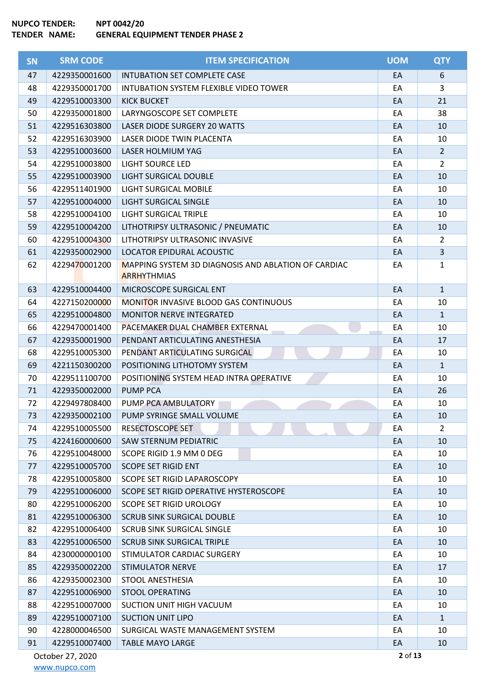| <b>SN</b> | <b>SRM CODE</b>  | <b>ITEM SPECIFICATION</b>                                                 | <b>UOM</b> | <b>QTY</b>     |
|-----------|------------------|---------------------------------------------------------------------------|------------|----------------|
| 47        | 4229350001600    | <b>INTUBATION SET COMPLETE CASE</b>                                       | EA         | 6              |
| 48        | 4229350001700    | INTUBATION SYSTEM FLEXIBLE VIDEO TOWER                                    | EA         | 3              |
| 49        | 4229510003300    | <b>KICK BUCKET</b>                                                        | EA         | 21             |
| 50        | 4229350001800    | LARYNGOSCOPE SET COMPLETE                                                 | EA         | 38             |
| 51        | 4229516303800    | <b>LASER DIODE SURGERY 20 WATTS</b>                                       | EA         | 10             |
| 52        | 4229516303900    | LASER DIODE TWIN PLACENTA                                                 | EA         | 10             |
| 53        | 4229510003600    | LASER HOLMIUM YAG                                                         | EA         | $2^{\circ}$    |
| 54        | 4229510003800    | <b>LIGHT SOURCE LED</b>                                                   | EA         | $\overline{2}$ |
| 55        | 4229510003900    | <b>LIGHT SURGICAL DOUBLE</b>                                              | EA         | 10             |
| 56        | 4229511401900    | LIGHT SURGICAL MOBILE                                                     | EA         | 10             |
| 57        | 4229510004000    | LIGHT SURGICAL SINGLE                                                     | EA         | 10             |
| 58        | 4229510004100    | LIGHT SURGICAL TRIPLE                                                     | EA         | 10             |
| 59        | 4229510004200    | LITHOTRIPSY ULTRASONIC / PNEUMATIC                                        | EA         | 10             |
| 60        | 4229510004300    | LITHOTRIPSY ULTRASONIC INVASIVE                                           | EA         | $\overline{2}$ |
| 61        | 4229350002900    | LOCATOR EPIDURAL ACOUSTIC                                                 | EA         | $\mathbf{3}$   |
| 62        | 4229470001200    | MAPPING SYSTEM 3D DIAGNOSIS AND ABLATION OF CARDIAC<br><b>ARRHYTHMIAS</b> | EA         | $\mathbf{1}$   |
| 63        | 4229510004400    | MICROSCOPE SURGICAL ENT                                                   | EA         | $\mathbf{1}$   |
| 64        | 4227150200000    | <b>MONITOR INVASIVE BLOOD GAS CONTINUOUS</b>                              | EA         | 10             |
| 65        | 4229510004800    | <b>MONITOR NERVE INTEGRATED</b>                                           | EA         | $\mathbf{1}$   |
| 66        | 4229470001400    | PACEMAKER DUAL CHAMBER EXTERNAL                                           | EA         | 10             |
| 67        | 4229350001900    | PENDANT ARTICULATING ANESTHESIA                                           | EA         | 17             |
| 68        | 4229510005300    | PENDANT ARTICULATING SURGICAL                                             | EA         | 10             |
| 69        | 4221150300200    | POSITIONING LITHOTOMY SYSTEM                                              | EA         | $\mathbf{1}$   |
| 70        | 4229511100700    | POSITIONING SYSTEM HEAD INTRA OPERATIVE                                   | EA         | 10             |
| 71        | 4229350002000    | <b>PUMP PCA</b>                                                           | EA         | 26             |
| 72        | 4229497808400    | PUMP PCA AMBULATORY                                                       | EA         | 10             |
| 73        | 4229350002100    | PUMP SYRINGE SMALL VOLUME                                                 | EA         | 10             |
| 74        | 4229510005500    | RESECTOSCOPE SET                                                          | EA         | $\overline{2}$ |
| 75        | 4224160000600    | SAW STERNUM PEDIATRIC                                                     | EA         | 10             |
| 76        | 4229510048000    | SCOPE RIGID 1.9 MM 0 DEG                                                  | EA         | 10             |
| 77        | 4229510005700    | <b>SCOPE SET RIGID ENT</b>                                                | EA         | 10             |
| 78        | 4229510005800    | SCOPE SET RIGID LAPAROSCOPY                                               | EA         | 10             |
| 79        | 4229510006000    | SCOPE SET RIGID OPERATIVE HYSTEROSCOPE                                    | EA         | 10             |
| 80        | 4229510006200    | <b>SCOPE SET RIGID UROLOGY</b>                                            | EA         | 10             |
| 81        | 4229510006300    | <b>SCRUB SINK SURGICAL DOUBLE</b>                                         | EA         | 10             |
| 82        | 4229510006400    | <b>SCRUB SINK SURGICAL SINGLE</b>                                         | EA         | 10             |
| 83        | 4229510006500    | <b>SCRUB SINK SURGICAL TRIPLE</b>                                         | EA         | 10             |
| 84        | 4230000000100    | STIMULATOR CARDIAC SURGERY                                                | EA         | 10             |
| 85        | 4229350002200    | <b>STIMULATOR NERVE</b>                                                   | EA         | 17             |
| 86        | 4229350002300    | STOOL ANESTHESIA                                                          | EA         | 10             |
| 87        | 4229510006900    | <b>STOOL OPERATING</b>                                                    | EA         | 10             |
| 88        | 4229510007000    | SUCTION UNIT HIGH VACUUM                                                  | EA         | 10             |
| 89        | 4229510007100    | <b>SUCTION UNIT LIPO</b>                                                  | EA         | $\mathbf{1}$   |
| 90        | 4228000046500    | SURGICAL WASTE MANAGEMENT SYSTEM                                          | EA         | 10             |
| 91        | 4229510007400    | <b>TABLE MAYO LARGE</b>                                                   | EA         | 10             |
|           | October 27, 2020 |                                                                           | 2 of 13    |                |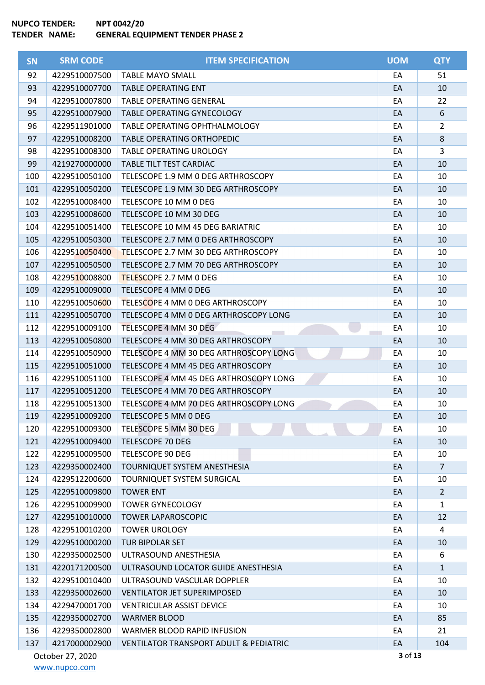| <b>SN</b> | <b>SRM CODE</b>  | <b>ITEM SPECIFICATION</b>                         | <b>UOM</b> | <b>QTY</b>     |
|-----------|------------------|---------------------------------------------------|------------|----------------|
| 92        | 4229510007500    | <b>TABLE MAYO SMALL</b>                           | EA         | 51             |
| 93        | 4229510007700    | <b>TABLE OPERATING ENT</b>                        | EA         | 10             |
| 94        | 4229510007800    | <b>TABLE OPERATING GENERAL</b>                    | EA         | 22             |
| 95        | 4229510007900    | TABLE OPERATING GYNECOLOGY                        | EA         | 6              |
| 96        | 4229511901000    | TABLE OPERATING OPHTHALMOLOGY                     | EA         | $\overline{2}$ |
| 97        | 4229510008200    | <b>TABLE OPERATING ORTHOPEDIC</b>                 | EA         | 8              |
| 98        | 4229510008300    | TABLE OPERATING UROLOGY                           | EA         | 3              |
| 99        | 4219270000000    | TABLE TILT TEST CARDIAC                           | EA         | 10             |
| 100       | 4229510050100    | TELESCOPE 1.9 MM 0 DEG ARTHROSCOPY                | EA         | 10             |
| 101       | 4229510050200    | TELESCOPE 1.9 MM 30 DEG ARTHROSCOPY               | EA         | 10             |
| 102       | 4229510008400    | TELESCOPE 10 MM 0 DEG                             | EA         | 10             |
| 103       | 4229510008600    | TELESCOPE 10 MM 30 DEG                            | EA         | 10             |
| 104       | 4229510051400    | TELESCOPE 10 MM 45 DEG BARIATRIC                  | EA         | 10             |
| 105       | 4229510050300    | TELESCOPE 2.7 MM 0 DEG ARTHROSCOPY                | EA         | 10             |
| 106       | 4229510050400    | TELESCOPE 2.7 MM 30 DEG ARTHROSCOPY               | EA         | 10             |
| 107       | 4229510050500    | TELESCOPE 2.7 MM 70 DEG ARTHROSCOPY               | EA         | 10             |
| 108       | 4229510008800    | TELESCOPE 2.7 MM 0 DEG                            | EA         | 10             |
| 109       | 4229510009000    | TELESCOPE 4 MM 0 DEG                              | EA         | 10             |
| 110       | 4229510050600    | TELESCOPE 4 MM 0 DEG ARTHROSCOPY                  | EA         | 10             |
| 111       | 4229510050700    | TELESCOPE 4 MM 0 DEG ARTHROSCOPY LONG             | EA         | 10             |
| 112       | 4229510009100    | TELESCOPE 4 MM 30 DEG                             | EA         | 10             |
| 113       | 4229510050800    | TELESCOPE 4 MM 30 DEG ARTHROSCOPY                 | EA         | 10             |
| 114       | 4229510050900    | TELESCOPE 4 MM 30 DEG ARTHROSCOPY LONG            | EA         | 10             |
| 115       | 4229510051000    | TELESCOPE 4 MM 45 DEG ARTHROSCOPY                 | EA         | 10             |
| 116       | 4229510051100    | TELESCOPE 4 MM 45 DEG ARTHROSCOPY LONG            | EA         | 10             |
| 117       | 4229510051200    | TELESCOPE 4 MM 70 DEG ARTHROSCOPY                 | EA         | 10             |
| 118       | 4229510051300    | TELESCOPE 4 MM 70 DEG ARTHROSCOPY LONG            | EA         | 10             |
| 119       | 4229510009200    | TELESCOPE 5 MM 0 DEG                              | EA         | 10             |
| 120       | 4229510009300    | TELESCOPE 5 MM 30 DEG                             | EA         | 10             |
| 121       | 4229510009400    | <b>TELESCOPE 70 DEG</b>                           | EA         | 10             |
| 122       | 4229510009500    | TELESCOPE 90 DEG                                  | EA         | 10             |
| 123       | 4229350002400    | TOURNIQUET SYSTEM ANESTHESIA                      | EA         | $\overline{7}$ |
| 124       | 4229512200600    | <b>TOURNIQUET SYSTEM SURGICAL</b>                 | EA         | 10             |
| 125       | 4229510009800    | <b>TOWER ENT</b>                                  | EA         | $\overline{2}$ |
| 126       | 4229510009900    | <b>TOWER GYNECOLOGY</b>                           | EA         | $\mathbf{1}$   |
| 127       | 4229510010000    | <b>TOWER LAPAROSCOPIC</b>                         | EA         | 12             |
| 128       | 4229510010200    | <b>TOWER UROLOGY</b>                              | EA         | 4              |
| 129       | 4229510000200    | TUR BIPOLAR SET                                   | EA         | 10             |
| 130       | 4229350002500    | ULTRASOUND ANESTHESIA                             | EA         | 6              |
| 131       | 4220171200500    | ULTRASOUND LOCATOR GUIDE ANESTHESIA               | EA         | $\mathbf{1}$   |
| 132       | 4229510010400    | ULTRASOUND VASCULAR DOPPLER                       | EA         | 10             |
| 133       | 4229350002600    | <b>VENTILATOR JET SUPERIMPOSED</b>                | EA         | 10             |
| 134       | 4229470001700    | <b>VENTRICULAR ASSIST DEVICE</b>                  | EA         | 10             |
| 135       | 4229350002700    | <b>WARMER BLOOD</b>                               | EA         | 85             |
| 136       | 4229350002800    | WARMER BLOOD RAPID INFUSION                       | EA         | 21             |
| 137       | 4217000002900    | <b>VENTILATOR TRANSPORT ADULT &amp; PEDIATRIC</b> | EA         | 104            |
|           | October 27, 2020 |                                                   | 3 of 13    |                |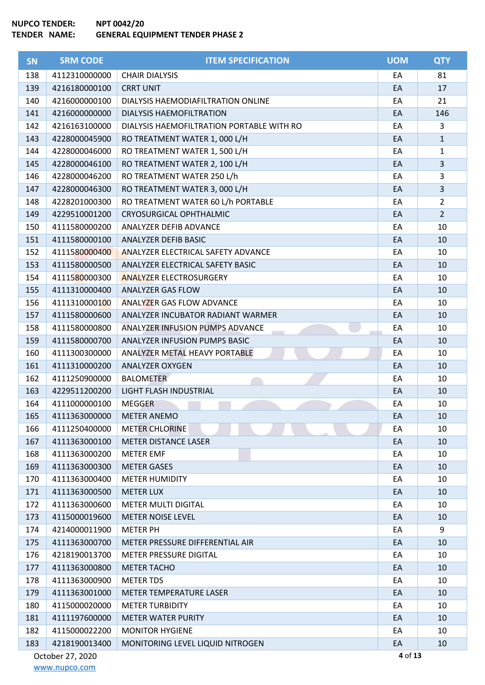ŕ

| <b>SN</b> | <b>SRM CODE</b>  | <b>ITEM SPECIFICATION</b>                 | <b>UOM</b> | <b>QTY</b>     |
|-----------|------------------|-------------------------------------------|------------|----------------|
| 138       | 4112310000000    | <b>CHAIR DIALYSIS</b>                     | EA         | 81             |
| 139       | 4216180000100    | <b>CRRT UNIT</b>                          | EA         | 17             |
| 140       | 4216000000100    | DIALYSIS HAEMODIAFILTRATION ONLINE        | EA         | 21             |
| 141       | 4216000000000    | DIALYSIS HAEMOFILTRATION                  | EA         | 146            |
| 142       | 4216163100000    | DIALYSIS HAEMOFILTRATION PORTABLE WITH RO | EA         | 3              |
| 143       | 4228000045900    | RO TREATMENT WATER 1, 000 L/H             | EA         | $\mathbf{1}$   |
| 144       | 4228000046000    | RO TREATMENT WATER 1, 500 L/H             | EA         | $\mathbf{1}$   |
| 145       | 4228000046100    | RO TREATMENT WATER 2, 100 L/H             | EA         | $\overline{3}$ |
| 146       | 4228000046200    | RO TREATMENT WATER 250 L/h                | EA         | 3              |
| 147       | 4228000046300    | RO TREATMENT WATER 3, 000 L/H             | EA         | $\overline{3}$ |
| 148       | 4228201000300    | RO TREATMENT WATER 60 L/h PORTABLE        | EA         | $\overline{2}$ |
| 149       | 4229510001200    | <b>CRYOSURGICAL OPHTHALMIC</b>            | EA         | $\overline{2}$ |
| 150       | 4111580000200    | ANALYZER DEFIB ADVANCE                    | EA         | 10             |
| 151       | 4111580000100    | ANALYZER DEFIB BASIC                      | EA         | 10             |
| 152       | 4111580000400    | ANALYZER ELECTRICAL SAFETY ADVANCE        | EA         | 10             |
| 153       | 4111580000500    | ANALYZER ELECTRICAL SAFETY BASIC          | EA         | 10             |
| 154       | 4111580000300    | <b>ANALYZER ELECTROSURGERY</b>            | EA         | 10             |
| 155       | 4111310000400    | <b>ANALYZER GAS FLOW</b>                  | EA         | 10             |
| 156       | 4111310000100    | <b>ANALYZER GAS FLOW ADVANCE</b>          | EA         | 10             |
| 157       | 4111580000600    | ANALYZER INCUBATOR RADIANT WARMER         | EA         | 10             |
| 158       | 4111580000800    | ANALYZER INFUSION PUMPS ADVANCE           | EA         | 10             |
| 159       | 4111580000700    | ANALYZER INFUSION PUMPS BASIC             | EA         | 10             |
| 160       | 4111300300000    | ANALYZER METAL HEAVY PORTABLE             | EA         | 10             |
| 161       | 4111310000200    | <b>ANALYZER OXYGEN</b>                    | EA         | 10             |
| 162       | 4111250900000    | <b>BALOMETER</b>                          | EA         | 10             |
| 163       | 4229511200200    | LIGHT FLASH INDUSTRIAL                    | EA         | 10             |
| 164       | 4111000000100    | <b>MEGGER</b>                             | EA         | 10             |
| 165       | 4111363000000    | <b>METER ANEMO</b>                        | EA         | 10             |
| 166       | 4111250400000    | <b>METER CHLORINE</b>                     | EA         | 10             |
| 167       | 4111363000100    | <b>METER DISTANCE LASER</b>               | EA         | 10             |
| 168       | 4111363000200    | <b>METER EMF</b>                          | EA         | 10             |
| 169       | 4111363000300    | <b>METER GASES</b>                        | EA         | 10             |
| 170       | 4111363000400    | <b>METER HUMIDITY</b>                     | EA         | 10             |
| 171       | 4111363000500    | <b>METER LUX</b>                          | EA         | 10             |
| 172       | 4111363000600    | <b>METER MULTI DIGITAL</b>                | EA         | 10             |
| 173       | 4115000019600    | <b>METER NOISE LEVEL</b>                  | EA         | 10             |
| 174       | 4214000011900    | <b>METER PH</b>                           | EA         | 9              |
| 175       | 4111363000700    | METER PRESSURE DIFFERENTIAL AIR           | EA         | 10             |
| 176       | 4218190013700    | <b>METER PRESSURE DIGITAL</b>             | EA         | 10             |
| 177       | 4111363000800    | <b>METER TACHO</b>                        | EA         | 10             |
| 178       | 4111363000900    | <b>METER TDS</b>                          | EA         | 10             |
| 179       | 4111363001000    | <b>METER TEMPERATURE LASER</b>            | EA         | 10             |
| 180       | 4115000020000    | <b>METER TURBIDITY</b>                    | EA         | 10             |
| 181       | 4111197600000    | <b>METER WATER PURITY</b>                 | EA         | 10             |
| 182       | 4115000022200    | <b>MONITOR HYGIENE</b>                    | EA         | 10             |
| 183       | 4218190013400    | MONITORING LEVEL LIQUID NITROGEN          | EA         | 10             |
|           | October 27, 2020 |                                           | 4 of 13    |                |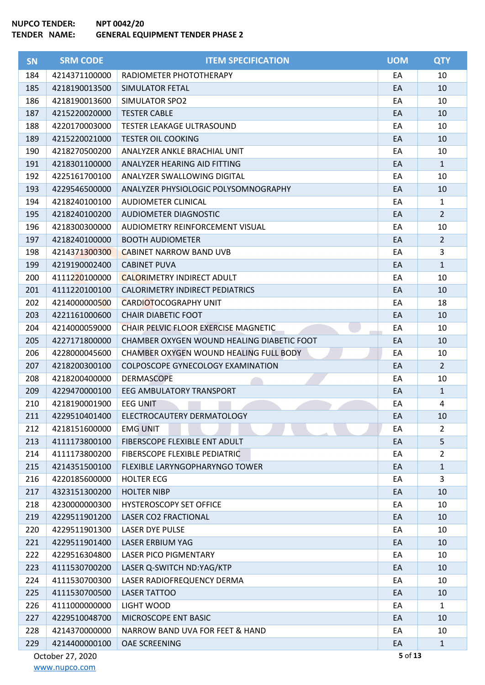ŕ

| <b>SN</b> | <b>SRM CODE</b>  | <b>ITEM SPECIFICATION</b>                   | <b>UOM</b> | <b>QTY</b>     |
|-----------|------------------|---------------------------------------------|------------|----------------|
| 184       | 4214371100000    | RADIOMETER PHOTOTHERAPY                     | EA         | 10             |
| 185       | 4218190013500    | SIMULATOR FETAL                             | EA         | 10             |
| 186       | 4218190013600    | SIMULATOR SPO2                              | EA         | 10             |
| 187       | 4215220020000    | <b>TESTER CABLE</b>                         | EA         | 10             |
| 188       | 4220170003000    | <b>TESTER LEAKAGE ULTRASOUND</b>            | EA         | 10             |
| 189       | 4215220021000    | <b>TESTER OIL COOKING</b>                   | EA         | 10             |
| 190       | 4218270500200    | ANALYZER ANKLE BRACHIAL UNIT                | EA         | 10             |
| 191       | 4218301100000    | ANALYZER HEARING AID FITTING                | EA         | $\mathbf{1}$   |
| 192       | 4225161700100    | ANALYZER SWALLOWING DIGITAL                 | EA         | 10             |
| 193       | 4229546500000    | ANALYZER PHYSIOLOGIC POLYSOMNOGRAPHY        | EA         | 10             |
| 194       | 4218240100100    | AUDIOMETER CLINICAL                         | EA         | $\mathbf{1}$   |
| 195       | 4218240100200    | AUDIOMETER DIAGNOSTIC                       | EA         | $\overline{2}$ |
| 196       | 4218300300000    | AUDIOMETRY REINFORCEMENT VISUAL             | EA         | 10             |
| 197       | 4218240100000    | <b>BOOTH AUDIOMETER</b>                     | EA         | $\overline{2}$ |
| 198       | 4214371300300    | <b>CABINET NARROW BAND UVB</b>              | EA         | 3              |
| 199       | 4219190002400    | <b>CABINET PUVA</b>                         | EA         | $\mathbf{1}$   |
| 200       | 4111220100000    | <b>CALORIMETRY INDIRECT ADULT</b>           | EA         | 10             |
| 201       | 4111220100100    | <b>CALORIMETRY INDIRECT PEDIATRICS</b>      | EA         | 10             |
| 202       | 4214000000500    | <b>CARDIOTOCOGRAPHY UNIT</b>                | EA         | 18             |
| 203       | 4221161000600    | <b>CHAIR DIABETIC FOOT</b>                  | EA         | 10             |
| 204       | 4214000059000    | <b>CHAIR PELVIC FLOOR EXERCISE MAGNETIC</b> | EA         | 10             |
| 205       | 4227171800000    | CHAMBER OXYGEN WOUND HEALING DIABETIC FOOT  | EA         | 10             |
| 206       | 4228000045600    | CHAMBER OXYGEN WOUND HEALING FULL BODY      | EA         | 10             |
| 207       | 4218200300100    | COLPOSCOPE GYNECOLOGY EXAMINATION           | EA         | $\overline{2}$ |
| 208       | 4218200400000    | <b>DERMASCOPE</b>                           | EA         | 10             |
| 209       | 4229470000100    | <b>EEG AMBULATORY TRANSPORT</b>             | EA         | $\mathbf{1}$   |
| 210       | 4218190001900    | <b>EEG UNIT</b>                             | EA         | 4              |
| 211       | 4229510401400    | ELECTROCAUTERY DERMATOLOGY                  | EA         | 10             |
| 212       | 4218151600000    | <b>EMG UNIT</b>                             | EA         | $\overline{2}$ |
| 213       | 4111173800100    | FIBERSCOPE FLEXIBLE ENT ADULT               | EA         | 5              |
| 214       | 4111173800200    | FIBERSCOPE FLEXIBLE PEDIATRIC               | EA         | $\overline{2}$ |
| 215       | 4214351500100    | FLEXIBLE LARYNGOPHARYNGO TOWER              | EA         | $\mathbf{1}$   |
| 216       | 4220185600000    | <b>HOLTER ECG</b>                           | EA         | 3              |
| 217       | 4323151300200    | <b>HOLTER NIBP</b>                          | EA         | 10             |
| 218       | 4230000000300    | <b>HYSTEROSCOPY SET OFFICE</b>              | EA         | 10             |
| 219       | 4229511901200    | <b>LASER CO2 FRACTIONAL</b>                 | EA         | 10             |
| 220       | 4229511901300    | LASER DYE PULSE                             | EA         | 10             |
| 221       | 4229511901400    | LASER ERBIUM YAG                            | EA         | 10             |
| 222       | 4229516304800    | <b>LASER PICO PIGMENTARY</b>                | EA         | 10             |
| 223       | 4111530700200    | LASER Q-SWITCH ND:YAG/KTP                   | EA         | 10             |
| 224       | 4111530700300    | LASER RADIOFREQUENCY DERMA                  | EA         | 10             |
| 225       | 4111530700500    | <b>LASER TATTOO</b>                         | EA         | 10             |
| 226       | 4111000000000    | LIGHT WOOD                                  | EA         | $\mathbf{1}$   |
| 227       | 4229510048700    | MICROSCOPE ENT BASIC                        | EA         | 10             |
| 228       | 4214370000000    | NARROW BAND UVA FOR FEET & HAND             | EA         | 10             |
| 229       | 4214400000100    | OAE SCREENING                               | EA         | $\mathbf{1}$   |
|           | October 27, 2020 |                                             | 5 of 13    |                |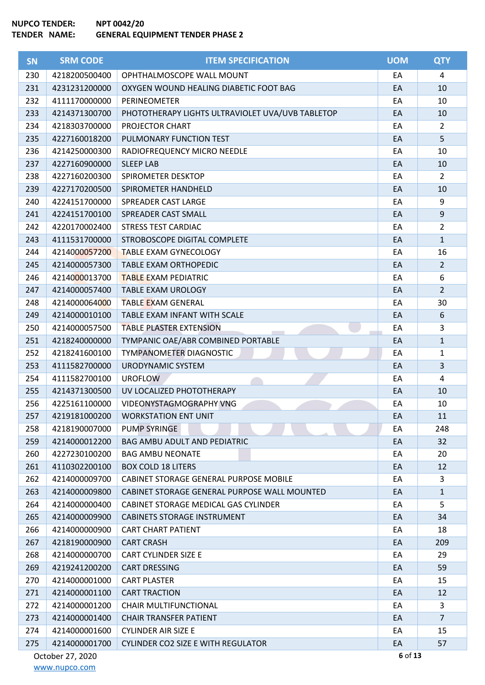| <b>SN</b> | <b>SRM CODE</b>  | <b>ITEM SPECIFICATION</b>                        | <b>UOM</b> | <b>QTY</b>     |
|-----------|------------------|--------------------------------------------------|------------|----------------|
| 230       | 4218200500400    | OPHTHALMOSCOPE WALL MOUNT                        | EA         | 4              |
| 231       | 4231231200000    | OXYGEN WOUND HEALING DIABETIC FOOT BAG           | EA         | 10             |
| 232       | 4111170000000    | PERINEOMETER                                     | EA         | 10             |
| 233       | 4214371300700    | PHOTOTHERAPY LIGHTS ULTRAVIOLET UVA/UVB TABLETOP | EA         | 10             |
| 234       | 4218303700000    | PROJECTOR CHART                                  | EA         | $\overline{2}$ |
| 235       | 4227160018200    | PULMONARY FUNCTION TEST                          | EA         | 5              |
| 236       | 4214250000300    | RADIOFREQUENCY MICRO NEEDLE                      | EA         | 10             |
| 237       | 4227160900000    | <b>SLEEP LAB</b>                                 | EA         | 10             |
| 238       | 4227160200300    | SPIROMETER DESKTOP                               | EA         | $\overline{2}$ |
| 239       | 4227170200500    | SPIROMETER HANDHELD                              | EA         | 10             |
| 240       | 4224151700000    | SPREADER CAST LARGE                              | EA         | 9              |
| 241       | 4224151700100    | SPREADER CAST SMALL                              | EA         | 9              |
| 242       | 4220170002400    | <b>STRESS TEST CARDIAC</b>                       | EA         | $\overline{2}$ |
| 243       | 4111531700000    | STROBOSCOPE DIGITAL COMPLETE                     | EA         | $\mathbf{1}$   |
| 244       | 4214000057200    | <b>TABLE EXAM GYNECOLOGY</b>                     | EA         | 16             |
| 245       | 4214000057300    | <b>TABLE EXAM ORTHOPEDIC</b>                     | EA         | $\overline{2}$ |
| 246       | 4214000013700    | <b>TABLE EXAM PEDIATRIC</b>                      | EA         | 6              |
| 247       | 4214000057400    | <b>TABLE EXAM UROLOGY</b>                        | EA         | $\overline{2}$ |
| 248       | 4214000064000    | <b>TABLE EXAM GENERAL</b>                        | EA         | 30             |
| 249       | 4214000010100    | TABLE EXAM INFANT WITH SCALE                     | EA         | 6              |
| 250       | 4214000057500    | <b>TABLE PLASTER EXTENSION</b>                   | EA         | 3              |
| 251       | 4218240000000    | TYMPANIC OAE/ABR COMBINED PORTABLE               | EA         | $\mathbf{1}$   |
| 252       | 4218241600100    | TYMPANOMETER DIAGNOSTIC                          | EA         | $\mathbf{1}$   |
| 253       | 4111582700000    | URODYNAMIC SYSTEM                                | EA         | $\overline{3}$ |
| 254       | 4111582700100    | <b>UROFLOW</b>                                   | EA         | 4              |
| 255       | 4214371300500    | UV LOCALIZED PHOTOTHERAPY                        | EA         | 10             |
| 256       | 4225161100000    | VIDEONYSTAGMOGRAPHY VNG                          | EA         | 10             |
| 257       | 4219181000200    | <b>WORKSTATION ENT UNIT</b>                      | EA         | 11             |
| 258       | 4218190007000    | <b>PUMP SYRINGE</b>                              | EA         | 248            |
| 259       | 4214000012200    | <b>BAG AMBU ADULT AND PEDIATRIC</b>              | EA         | 32             |
| 260       | 4227230100200    | <b>BAG AMBU NEONATE</b>                          | EA         | 20             |
| 261       | 4110302200100    | <b>BOX COLD 18 LITERS</b>                        | EA         | 12             |
| 262       | 4214000009700    | CABINET STORAGE GENERAL PURPOSE MOBILE           | EA         | 3              |
| 263       | 4214000009800    | CABINET STORAGE GENERAL PURPOSE WALL MOUNTED     | EA         | $\mathbf{1}$   |
| 264       | 4214000000400    | CABINET STORAGE MEDICAL GAS CYLINDER             | EA         | 5              |
| 265       | 4214000009900    | <b>CABINETS STORAGE INSTRUMENT</b>               | EA         | 34             |
| 266       | 4214000000900    | <b>CART CHART PATIENT</b>                        | EA         | 18             |
| 267       | 4218190000900    | <b>CART CRASH</b>                                | EA         | 209            |
| 268       | 4214000000700    | <b>CART CYLINDER SIZE E</b>                      | EA         | 29             |
| 269       | 4219241200200    | <b>CART DRESSING</b>                             | EA         | 59             |
| 270       | 4214000001000    | <b>CART PLASTER</b>                              | EA         | 15             |
| 271       | 4214000001100    | <b>CART TRACTION</b>                             | EA         | 12             |
| 272       | 4214000001200    | CHAIR MULTIFUNCTIONAL                            | EA         | 3              |
| 273       | 4214000001400    | <b>CHAIR TRANSFER PATIENT</b>                    | EA         | $\overline{7}$ |
| 274       | 4214000001600    | <b>CYLINDER AIR SIZE E</b>                       | EA         | 15             |
| 275       | 4214000001700    | <b>CYLINDER CO2 SIZE E WITH REGULATOR</b>        | EA         | 57             |
|           | October 27, 2020 |                                                  | 6 of 13    |                |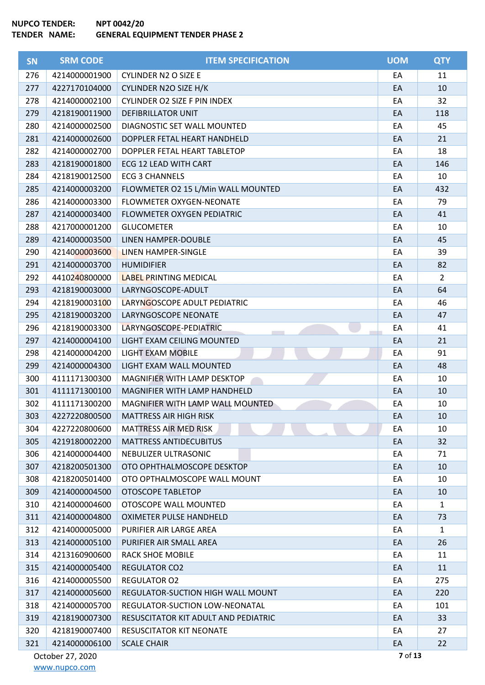| <b>SN</b> | <b>SRM CODE</b>  | <b>ITEM SPECIFICATION</b>            | <b>UOM</b> | <b>QTY</b>     |
|-----------|------------------|--------------------------------------|------------|----------------|
| 276       | 4214000001900    | <b>CYLINDER N2 O SIZE E</b>          | EA         | 11             |
| 277       | 4227170104000    | CYLINDER N2O SIZE H/K                | EA         | 10             |
| 278       | 4214000002100    | <b>CYLINDER O2 SIZE F PIN INDEX</b>  | EA         | 32             |
| 279       | 4218190011900    | <b>DEFIBRILLATOR UNIT</b>            | EA         | 118            |
| 280       | 4214000002500    | DIAGNOSTIC SET WALL MOUNTED          | EA         | 45             |
| 281       | 4214000002600    | DOPPLER FETAL HEART HANDHELD         | EA         | 21             |
| 282       | 4214000002700    | DOPPLER FETAL HEART TABLETOP         | EA         | 18             |
| 283       | 4218190001800    | ECG 12 LEAD WITH CART                | EA         | 146            |
| 284       | 4218190012500    | <b>ECG 3 CHANNELS</b>                | EA         | 10             |
| 285       | 4214000003200    | FLOWMETER O2 15 L/Min WALL MOUNTED   | EA         | 432            |
| 286       | 4214000003300    | FLOWMETER OXYGEN-NEONATE             | EA         | 79             |
| 287       | 4214000003400    | FLOWMETER OXYGEN PEDIATRIC           | EA         | 41             |
| 288       | 4217000001200    | <b>GLUCOMETER</b>                    | EA         | 10             |
| 289       | 4214000003500    | LINEN HAMPER-DOUBLE                  | EA         | 45             |
| 290       | 4214000003600    | <b>LINEN HAMPER-SINGLE</b>           | EA         | 39             |
| 291       | 4214000003700    | <b>HUMIDIFIER</b>                    | EA         | 82             |
| 292       | 4410240800000    | <b>LABEL PRINTING MEDICAL</b>        | EA         | $\overline{2}$ |
| 293       | 4218190003000    | LARYNGOSCOPE-ADULT                   | EA         | 64             |
| 294       | 4218190003100    | LARYNGOSCOPE ADULT PEDIATRIC         | EA         | 46             |
| 295       | 4218190003200    | LARYNGOSCOPE NEONATE                 | EA         | 47             |
| 296       | 4218190003300    | LARYNGOSCOPE-PEDIATRIC               | EA         | 41             |
| 297       | 4214000004100    | LIGHT EXAM CEILING MOUNTED           | EA         | 21             |
| 298       | 4214000004200    | LIGHT EXAM MOBILE                    | EA         | 91             |
| 299       | 4214000004300    | LIGHT EXAM WALL MOUNTED              | EA         | 48             |
| 300       | 4111171300300    | MAGNIFIER WITH LAMP DESKTOP          | EA         | 10             |
| 301       | 4111171300100    | MAGNIFIER WITH LAMP HANDHELD         | EA         | 10             |
| 302       | 4111171300200    | MAGNIFIER WITH LAMP WALL MOUNTED     | EA         | 10             |
| 303       | 4227220800500    | <b>MATTRESS AIR HIGH RISK</b>        | EA         | 10             |
| 304       | 4227220800600    | <b>MATTRESS AIR MED RISK</b>         | EA         | 10             |
| 305       | 4219180002200    | <b>MATTRESS ANTIDECUBITUS</b>        | EA         | 32             |
| 306       | 4214000004400    | NEBULIZER ULTRASONIC                 | EA         | 71             |
| 307       | 4218200501300    | OTO OPHTHALMOSCOPE DESKTOP           | EA         | 10             |
| 308       | 4218200501400    | OTO OPTHALMOSCOPE WALL MOUNT         | EA         | 10             |
| 309       | 4214000004500    | OTOSCOPE TABLETOP                    | EA         | 10             |
| 310       | 4214000004600    | OTOSCOPE WALL MOUNTED                | EA         | 1              |
| 311       | 4214000004800    | <b>OXIMETER PULSE HANDHELD</b>       | EA         | 73             |
| 312       | 4214000005000    | PURIFIER AIR LARGE AREA              | EA         | $\mathbf{1}$   |
| 313       | 4214000005100    | PURIFIER AIR SMALL AREA              | EA         | 26             |
| 314       | 4213160900600    | <b>RACK SHOE MOBILE</b>              | EA         | 11             |
| 315       | 4214000005400    | <b>REGULATOR CO2</b>                 | EA         | 11             |
| 316       | 4214000005500    | <b>REGULATOR O2</b>                  | EA         | 275            |
| 317       | 4214000005600    | REGULATOR-SUCTION HIGH WALL MOUNT    | EA         | 220            |
| 318       | 4214000005700    | REGULATOR-SUCTION LOW-NEONATAL       | EA         | 101            |
| 319       | 4218190007300    | RESUSCITATOR KIT ADULT AND PEDIATRIC | EA         | 33             |
| 320       | 4218190007400    | RESUSCITATOR KIT NEONATE             | EA         | 27             |
| 321       | 4214000006100    | <b>SCALE CHAIR</b>                   | EA         | 22             |
|           | October 27, 2020 |                                      | 7 of 13    |                |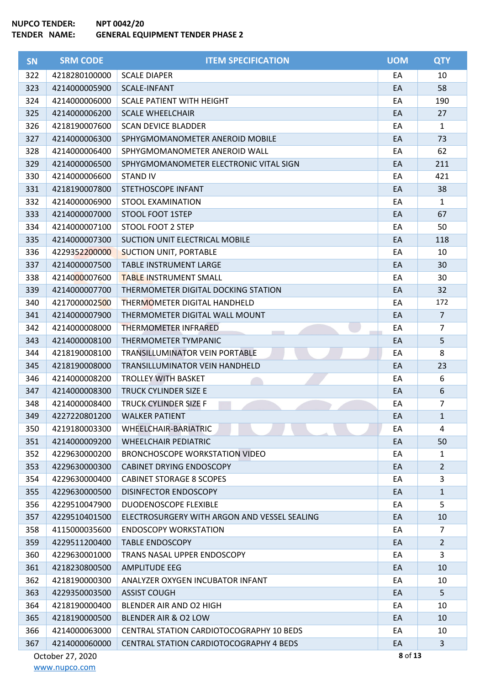ŕ

| <b>SN</b>                   | <b>SRM CODE</b> | <b>ITEM SPECIFICATION</b>                    | <b>UOM</b> | <b>QTY</b>     |
|-----------------------------|-----------------|----------------------------------------------|------------|----------------|
| 322                         | 4218280100000   | <b>SCALE DIAPER</b>                          | EA         | 10             |
| 323                         | 4214000005900   | <b>SCALE-INFANT</b>                          | EA         | 58             |
| 324                         | 4214000006000   | <b>SCALE PATIENT WITH HEIGHT</b>             | EA         | 190            |
| 325                         | 4214000006200   | <b>SCALE WHEELCHAIR</b>                      | EA         | 27             |
| 326                         | 4218190007600   | <b>SCAN DEVICE BLADDER</b>                   | EA         | $\mathbf{1}$   |
| 327                         | 4214000006300   | SPHYGMOMANOMETER ANEROID MOBILE              | EA         | 73             |
| 328                         | 4214000006400   | SPHYGMOMANOMETER ANEROID WALL                | EA         | 62             |
| 329                         | 4214000006500   | SPHYGMOMANOMETER ELECTRONIC VITAL SIGN       | EA         | 211            |
| 330                         | 4214000006600   | <b>STAND IV</b>                              | EA         | 421            |
| 331                         | 4218190007800   | STETHOSCOPE INFANT                           | EA         | 38             |
| 332                         | 4214000006900   | STOOL EXAMINATION                            | EA         | $\mathbf{1}$   |
| 333                         | 4214000007000   | <b>STOOL FOOT 1STEP</b>                      | EA         | 67             |
| 334                         | 4214000007100   | STOOL FOOT 2 STEP                            | EA         | 50             |
| 335                         | 4214000007300   | SUCTION UNIT ELECTRICAL MOBILE               | EA         | 118            |
| 336                         | 4229352200000   | <b>SUCTION UNIT, PORTABLE</b>                | EA         | 10             |
| 337                         | 4214000007500   | TABLE INSTRUMENT LARGE                       | EA         | 30             |
| 338                         | 4214000007600   | <b>TABLE INSTRUMENT SMALL</b>                | EA         | 30             |
| 339                         | 4214000007700   | THERMOMETER DIGITAL DOCKING STATION          | EA         | 32             |
| 340                         | 4217000002500   | THERMOMETER DIGITAL HANDHELD                 | EA         | 172            |
| 341                         | 4214000007900   | THERMOMETER DIGITAL WALL MOUNT               | EA         | $\overline{7}$ |
| 342                         | 4214000008000   | <b>THERMOMETER INFRARED</b>                  | EA         | $\overline{7}$ |
| 343                         | 4214000008100   | THERMOMETER TYMPANIC                         | EA         | 5              |
| 344                         | 4218190008100   | TRANSILLUMINATOR VEIN PORTABLE               | EA         | 8              |
| 345                         | 4218190008000   | TRANSILLUMINATOR VEIN HANDHELD               | EA         | 23             |
| 346                         | 4214000008200   | <b>TROLLEY WITH BASKET</b>                   | EA         | 6              |
| 347                         | 4214000008300   | TRUCK CYLINDER SIZE E                        | EA         | 6              |
| 348                         | 4214000008400   | TRUCK CYLINDER SIZE F                        | EA         | $\overline{7}$ |
| 349                         | 4227220801200   | <b>WALKER PATIENT</b>                        | EA         | $\mathbf{1}$   |
| 350                         | 4219180003300   | WHEELCHAIR-BARIATRIC                         | EA         | 4              |
| 351                         | 4214000009200   | <b>WHEELCHAIR PEDIATRIC</b>                  | EA         | 50             |
| 352                         | 4229630000200   | <b>BRONCHOSCOPE WORKSTATION VIDEO</b>        | EA         | $\mathbf{1}$   |
| 353                         | 4229630000300   | <b>CABINET DRYING ENDOSCOPY</b>              | EA         | $\overline{2}$ |
| 354                         | 4229630000400   | <b>CABINET STORAGE 8 SCOPES</b>              | EA         | 3              |
| 355                         | 4229630000500   | <b>DISINFECTOR ENDOSCOPY</b>                 | EA         | $\mathbf{1}$   |
| 356                         | 4229510047900   | <b>DUODENOSCOPE FLEXIBLE</b>                 | EA         | 5              |
| 357                         | 4229510401500   | ELECTROSURGERY WITH ARGON AND VESSEL SEALING | EA         | 10             |
| 358                         | 4115000035600   | <b>ENDOSCOPY WORKSTATION</b>                 | EA         | $\overline{7}$ |
| 359                         | 4229511200400   | <b>TABLE ENDOSCOPY</b>                       | EA         | $\overline{2}$ |
| 360                         | 4229630001000   | TRANS NASAL UPPER ENDOSCOPY                  | EA         | 3              |
| 361                         | 4218230800500   | <b>AMPLITUDE EEG</b>                         | EA         | 10             |
| 362                         | 4218190000300   | ANALYZER OXYGEN INCUBATOR INFANT             | EA         | 10             |
| 363                         | 4229350003500   | <b>ASSIST COUGH</b>                          | EA         | 5              |
| 364                         | 4218190000400   | BLENDER AIR AND O2 HIGH                      | EA         | 10             |
| 365                         | 4218190000500   | BLENDER AIR & O2 LOW                         | EA         | 10             |
| 366                         | 4214000063000   | CENTRAL STATION CARDIOTOCOGRAPHY 10 BEDS     | EA         | 10             |
| 367                         | 4214000060000   | CENTRAL STATION CARDIOTOCOGRAPHY 4 BEDS      | EA         | $\mathbf{3}$   |
| 8 of 13<br>October 27, 2020 |                 |                                              |            |                |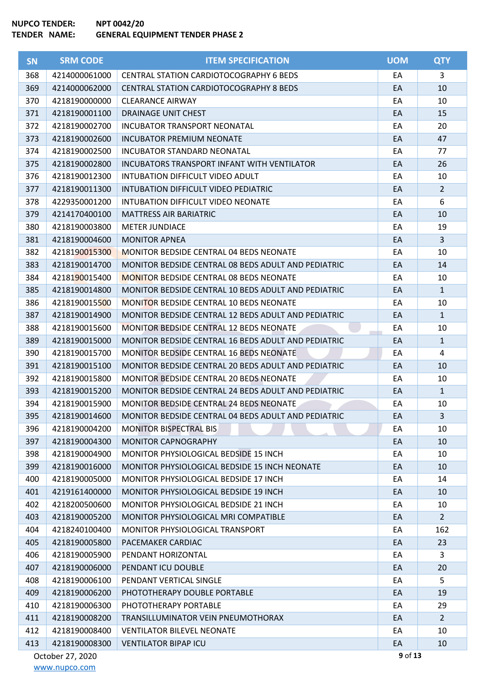| <b>SN</b> | <b>SRM CODE</b>  | <b>ITEM SPECIFICATION</b>                           | <b>UOM</b> | <b>QTY</b>     |
|-----------|------------------|-----------------------------------------------------|------------|----------------|
| 368       | 4214000061000    | <b>CENTRAL STATION CARDIOTOCOGRAPHY 6 BEDS</b>      | EA         | 3              |
| 369       | 4214000062000    | <b>CENTRAL STATION CARDIOTOCOGRAPHY 8 BEDS</b>      | EA         | 10             |
| 370       | 4218190000000    | <b>CLEARANCE AIRWAY</b>                             | EA         | 10             |
| 371       | 4218190001100    | <b>DRAINAGE UNIT CHEST</b>                          | EA         | 15             |
| 372       | 4218190002700    | <b>INCUBATOR TRANSPORT NEONATAL</b>                 | EA         | 20             |
| 373       | 4218190002600    | <b>INCUBATOR PREMIUM NEONATE</b>                    | EA         | 47             |
| 374       | 4218190002500    | INCUBATOR STANDARD NEONATAL                         | EA         | 77             |
| 375       | 4218190002800    | <b>INCUBATORS TRANSPORT INFANT WITH VENTILATOR</b>  | EA         | 26             |
| 376       | 4218190012300    | INTUBATION DIFFICULT VIDEO ADULT                    | EA         | 10             |
| 377       | 4218190011300    | INTUBATION DIFFICULT VIDEO PEDIATRIC                | EA         | $\overline{2}$ |
| 378       | 4229350001200    | INTUBATION DIFFICULT VIDEO NEONATE                  | EA         | 6              |
| 379       | 4214170400100    | <b>MATTRESS AIR BARIATRIC</b>                       | EA         | 10             |
| 380       | 4218190003800    | <b>METER JUNDIACE</b>                               | EA         | 19             |
| 381       | 4218190004600    | <b>MONITOR APNEA</b>                                | EA         | $\overline{3}$ |
| 382       | 4218190015300    | <b>MONITOR BEDSIDE CENTRAL 04 BEDS NEONATE</b>      | EA         | 10             |
| 383       | 4218190014700    | MONITOR BEDSIDE CENTRAL 08 BEDS ADULT AND PEDIATRIC | EA         | 14             |
| 384       | 4218190015400    | <b>MONITOR BEDSIDE CENTRAL 08 BEDS NEONATE</b>      | EA         | 10             |
| 385       | 4218190014800    | MONITOR BEDSIDE CENTRAL 10 BEDS ADULT AND PEDIATRIC | EA         | $\mathbf{1}$   |
| 386       | 4218190015500    | <b>MONITOR BEDSIDE CENTRAL 10 BEDS NEONATE</b>      | EA         | 10             |
| 387       | 4218190014900    | MONITOR BEDSIDE CENTRAL 12 BEDS ADULT AND PEDIATRIC | EA         | $\mathbf{1}$   |
| 388       | 4218190015600    | MONITOR BEDSIDE CENTRAL 12 BEDS NEONATE             | EA         | 10             |
| 389       | 4218190015000    | MONITOR BEDSIDE CENTRAL 16 BEDS ADULT AND PEDIATRIC | EA         | $\mathbf{1}$   |
| 390       | 4218190015700    | MONITOR BEDSIDE CENTRAL 16 BEDS NEONATE             | EA         | 4              |
| 391       | 4218190015100    | MONITOR BEDSIDE CENTRAL 20 BEDS ADULT AND PEDIATRIC | EA         | 10             |
| 392       | 4218190015800    | <b>MONITOR BEDSIDE CENTRAL 20 BEDS NEONATE</b>      | EA         | 10             |
| 393       | 4218190015200    | MONITOR BEDSIDE CENTRAL 24 BEDS ADULT AND PEDIATRIC | EA         | $\mathbf{1}$   |
| 394       | 4218190015900    | MONITOR BEDSIDE CENTRAL 24 BEDS NEONATE             | EA         | 10             |
| 395       | 4218190014600    | MONITOR BEDSIDE CENTRAL 04 BEDS ADULT AND PEDIATRIC | EA         | 3              |
| 396       | 4218190004200    | <b>MONITOR BISPECTRAL BIS</b>                       | EA         | 10             |
| 397       | 4218190004300    | <b>MONITOR CAPNOGRAPHY</b>                          | EA         | 10             |
| 398       | 4218190004900    | MONITOR PHYSIOLOGICAL BEDSIDE 15 INCH               | EA         | 10             |
| 399       | 4218190016000    | MONITOR PHYSIOLOGICAL BEDSIDE 15 INCH NEONATE       | EA         | 10             |
| 400       | 4218190005000    | MONITOR PHYSIOLOGICAL BEDSIDE 17 INCH               | EA         | 14             |
| 401       | 4219161400000    | MONITOR PHYSIOLOGICAL BEDSIDE 19 INCH               | EA         | 10             |
| 402       | 4218200500600    | MONITOR PHYSIOLOGICAL BEDSIDE 21 INCH               | EA         | 10             |
| 403       | 4218190005200    | MONITOR PHYSIOLOGICAL MRI COMPATIBLE                | EA         | $2^{\circ}$    |
| 404       | 4218240100400    | MONITOR PHYSIOLOGICAL TRANSPORT                     | EA         | 162            |
| 405       | 4218190005800    | PACEMAKER CARDIAC                                   | EA         | 23             |
| 406       | 4218190005900    | PENDANT HORIZONTAL                                  | EA         | 3              |
| 407       | 4218190006000    | PENDANT ICU DOUBLE                                  | EA         | 20             |
| 408       | 4218190006100    | PENDANT VERTICAL SINGLE                             | EA         | 5              |
| 409       | 4218190006200    | PHOTOTHERAPY DOUBLE PORTABLE                        | EA         | 19             |
| 410       | 4218190006300    | PHOTOTHERAPY PORTABLE                               | EA         | 29             |
| 411       | 4218190008200    | TRANSILLUMINATOR VEIN PNEUMOTHORAX                  | EA         | $2^{\circ}$    |
| 412       | 4218190008400    | <b>VENTILATOR BILEVEL NEONATE</b>                   | EA         | 10             |
| 413       | 4218190008300    | <b>VENTILATOR BIPAP ICU</b>                         | EA         | 10             |
|           | October 27, 2020 |                                                     | 9 of 13    |                |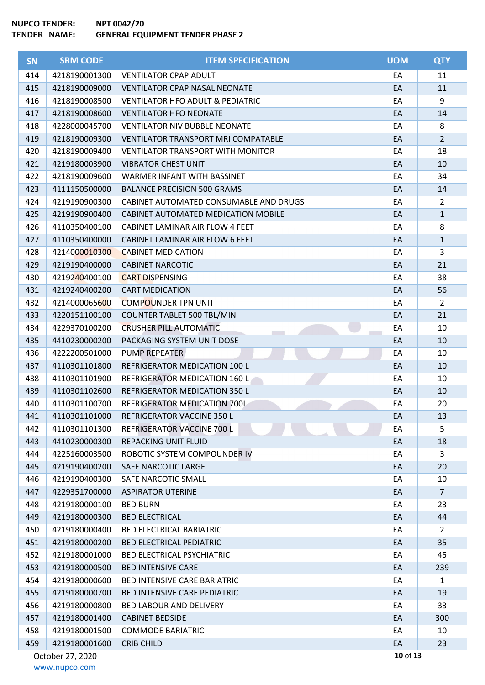| <b>SN</b> | <b>SRM CODE</b>  | <b>ITEM SPECIFICATION</b>                   | <b>UOM</b> | <b>QTY</b>     |
|-----------|------------------|---------------------------------------------|------------|----------------|
| 414       | 4218190001300    | <b>VENTILATOR CPAP ADULT</b>                | EA         | 11             |
| 415       | 4218190009000    | <b>VENTILATOR CPAP NASAL NEONATE</b>        | EA         | 11             |
| 416       | 4218190008500    | <b>VENTILATOR HFO ADULT &amp; PEDIATRIC</b> | EA         | 9              |
| 417       | 4218190008600    | <b>VENTILATOR HFO NEONATE</b>               | EA         | 14             |
| 418       | 4228000045700    | <b>VENTILATOR NIV BUBBLE NEONATE</b>        | EA         | 8              |
| 419       | 4218190009300    | <b>VENTILATOR TRANSPORT MRI COMPATABLE</b>  | EA         | $2^{\circ}$    |
| 420       | 4218190009400    | <b>VENTILATOR TRANSPORT WITH MONITOR</b>    | EA         | 18             |
| 421       | 4219180003900    | <b>VIBRATOR CHEST UNIT</b>                  | EA         | 10             |
| 422       | 4218190009600    | WARMER INFANT WITH BASSINET                 | EA         | 34             |
| 423       | 4111150500000    | <b>BALANCE PRECISION 500 GRAMS</b>          | EA         | 14             |
| 424       | 4219190900300    | CABINET AUTOMATED CONSUMABLE AND DRUGS      | EA         | $\overline{2}$ |
| 425       | 4219190900400    | CABINET AUTOMATED MEDICATION MOBILE         | EA         | $\mathbf{1}$   |
| 426       | 4110350400100    | CABINET LAMINAR AIR FLOW 4 FEET             | EA         | 8              |
| 427       | 4110350400000    | CABINET LAMINAR AIR FLOW 6 FEET             | EA         | $\mathbf{1}$   |
| 428       | 4214000010300    | <b>CABINET MEDICATION</b>                   | EA         | 3              |
| 429       | 4219190400000    | <b>CABINET NARCOTIC</b>                     | EA         | 21             |
| 430       | 4219240400100    | <b>CART DISPENSING</b>                      | EA         | 38             |
| 431       | 4219240400200    | <b>CART MEDICATION</b>                      | EA         | 56             |
| 432       | 4214000065600    | <b>COMPOUNDER TPN UNIT</b>                  | EA         | $\overline{2}$ |
| 433       | 4220151100100    | <b>COUNTER TABLET 500 TBL/MIN</b>           | EA         | 21             |
| 434       | 4229370100200    | <b>CRUSHER PILL AUTOMATIC</b>               | EA         | 10             |
| 435       | 4410230000200    | PACKAGING SYSTEM UNIT DOSE                  | EA         | 10             |
| 436       | 4222200501000    | PUMP REPEATER                               | EA         | 10             |
| 437       | 4110301101800    | REFRIGERATOR MEDICATION 100 L               | EA         | 10             |
| 438       | 4110301101900    | REFRIGERATOR MEDICATION 160 L               | EA         | 10             |
| 439       | 4110301102600    | REFRIGERATOR MEDICATION 350 L               | EA         | 10             |
| 440       | 4110301100700    | REFRIGERATOR MEDICATION 700L                | EA         | 20             |
| 441       | 4110301101000    | REFRIGERATOR VACCINE 350 L                  | EA         | 13             |
| 442       | 4110301101300    | REFRIGERATOR VACCINE 700 L                  | EA         | 5              |
| 443       | 4410230000300    | <b>REPACKING UNIT FLUID</b>                 | EA         | 18             |
| 444       | 4225160003500    | ROBOTIC SYSTEM COMPOUNDER IV                | EA         | 3              |
| 445       | 4219190400200    | SAFE NARCOTIC LARGE                         | EA         | 20             |
| 446       | 4219190400300    | SAFE NARCOTIC SMALL                         | EA         | 10             |
| 447       | 4229351700000    | <b>ASPIRATOR UTERINE</b>                    | EA         | $\overline{7}$ |
| 448       | 4219180000100    | <b>BED BURN</b>                             | EA         | 23             |
| 449       | 4219180000300    | <b>BED ELECTRICAL</b>                       | EA         | 44             |
| 450       | 4219180000400    | <b>BED ELECTRICAL BARIATRIC</b>             | EA         | $\overline{2}$ |
| 451       | 4219180000200    | <b>BED ELECTRICAL PEDIATRIC</b>             | EA         | 35             |
| 452       | 4219180001000    | <b>BED ELECTRICAL PSYCHIATRIC</b>           | EA         | 45             |
| 453       | 4219180000500    | <b>BED INTENSIVE CARE</b>                   | EA         | 239            |
| 454       | 4219180000600    | <b>BED INTENSIVE CARE BARIATRIC</b>         | EA         | $\mathbf{1}$   |
| 455       | 4219180000700    | BED INTENSIVE CARE PEDIATRIC                | EA         | 19             |
| 456       | 4219180000800    | <b>BED LABOUR AND DELIVERY</b>              | EA         | 33             |
| 457       | 4219180001400    | <b>CABINET BEDSIDE</b>                      | EA         | 300            |
| 458       | 4219180001500    | <b>COMMODE BARIATRIC</b>                    | EA         | 10             |
| 459       | 4219180001600    | <b>CRIB CHILD</b>                           | EA         | 23             |
|           | October 27, 2020 |                                             | 10 of 13   |                |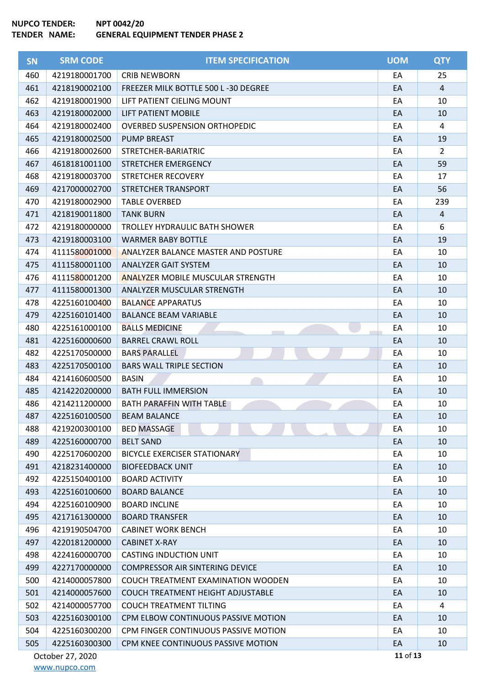| <b>SN</b> | <b>SRM CODE</b>  | <b>ITEM SPECIFICATION</b>                  | <b>UOM</b> | <b>QTY</b>     |
|-----------|------------------|--------------------------------------------|------------|----------------|
| 460       | 4219180001700    | <b>CRIB NEWBORN</b>                        | EA         | 25             |
| 461       | 4218190002100    | FREEZER MILK BOTTLE 500 L-30 DEGREE        | EA         | $\overline{4}$ |
| 462       | 4219180001900    | LIFT PATIENT CIELING MOUNT                 | EA         | 10             |
| 463       | 4219180002000    | <b>LIFT PATIENT MOBILE</b>                 | EA         | 10             |
| 464       | 4219180002400    | <b>OVERBED SUSPENSION ORTHOPEDIC</b>       | EA         | 4              |
| 465       | 4219180002500    | <b>PUMP BREAST</b>                         | EA         | 19             |
| 466       | 4219180002600    | STRETCHER-BARIATRIC                        | EA         | $\overline{2}$ |
| 467       | 4618181001100    | STRETCHER EMERGENCY                        | EA         | 59             |
| 468       | 4219180003700    | STRETCHER RECOVERY                         | EA         | 17             |
| 469       | 4217000002700    | STRETCHER TRANSPORT                        | EA         | 56             |
| 470       | 4219180002900    | <b>TABLE OVERBED</b>                       | EA         | 239            |
| 471       | 4218190011800    | <b>TANK BURN</b>                           | EA         | $\overline{4}$ |
| 472       | 4219180000000    | TROLLEY HYDRAULIC BATH SHOWER              | EA         | 6              |
| 473       | 4219180003100    | <b>WARMER BABY BOTTLE</b>                  | EA         | 19             |
| 474       | 4111580001000    | <b>ANALYZER BALANCE MASTER AND POSTURE</b> | EA         | 10             |
| 475       | 4111580001100    | <b>ANALYZER GAIT SYSTEM</b>                | EA         | 10             |
| 476       | 4111580001200    | <b>ANALYZER MOBILE MUSCULAR STRENGTH</b>   | EA         | 10             |
| 477       | 4111580001300    | ANALYZER MUSCULAR STRENGTH                 | EA         | 10             |
| 478       | 4225160100400    | <b>BALANCE APPARATUS</b>                   | EA         | 10             |
| 479       | 4225160101400    | <b>BALANCE BEAM VARIABLE</b>               | EA         | 10             |
| 480       | 4225161000100    | <b>BALLS MEDICINE</b>                      | EA         | 10             |
| 481       | 4225160000600    | <b>BARREL CRAWL ROLL</b>                   | EA         | 10             |
| 482       | 4225170500000    | <b>BARS PARALLEL</b>                       | EA         | 10             |
| 483       | 4225170500100    | <b>BARS WALL TRIPLE SECTION</b>            | EA         | 10             |
| 484       | 4214160600500    | <b>BASIN</b>                               | EA         | 10             |
| 485       | 4214220200000    | <b>BATH FULL IMMERSION</b>                 | EA         | 10             |
| 486       | 4214211200000    | BATH PARAFFIN WITH TABLE                   | EA         | 10             |
| 487       | 4225160100500    | <b>BEAM BALANCE</b>                        | EA         | 10             |
| 488       | 4219200300100    | <b>BED MASSAGE</b>                         | EA         | 10             |
| 489       | 4225160000700    | <b>BELT SAND</b>                           | EA         | 10             |
| 490       | 4225170600200    | BICYCLE EXERCISER STATIONARY               | EA         | 10             |
| 491       | 4218231400000    | <b>BIOFEEDBACK UNIT</b>                    | EA         | 10             |
| 492       | 4225150400100    | <b>BOARD ACTIVITY</b>                      | EA         | 10             |
| 493       | 4225160100600    | <b>BOARD BALANCE</b>                       | EA         | 10             |
| 494       | 4225160100900    | <b>BOARD INCLINE</b>                       | EA         | 10             |
| 495       | 4217161300000    | <b>BOARD TRANSFER</b>                      | EA         | 10             |
| 496       | 4219190504700    | <b>CABINET WORK BENCH</b>                  | EA         | 10             |
| 497       | 4220181200000    | <b>CABINET X-RAY</b>                       | EA         | 10             |
| 498       | 4224160000700    | <b>CASTING INDUCTION UNIT</b>              | EA         | 10             |
| 499       | 4227170000000    | <b>COMPRESSOR AIR SINTERING DEVICE</b>     | EA         | 10             |
| 500       | 4214000057800    | COUCH TREATMENT EXAMINATION WOODEN         | EA         | 10             |
| 501       | 4214000057600    | COUCH TREATMENT HEIGHT ADJUSTABLE          | EA         | 10             |
| 502       | 4214000057700    | <b>COUCH TREATMENT TILTING</b>             | EA         | 4              |
| 503       | 4225160300100    | CPM ELBOW CONTINUOUS PASSIVE MOTION        | EA         | 10             |
| 504       | 4225160300200    | CPM FINGER CONTINUOUS PASSIVE MOTION       | EA         | 10             |
| 505       | 4225160300300    | CPM KNEE CONTINUOUS PASSIVE MOTION         | EA         | 10             |
|           | October 27, 2020 |                                            | 11 of 13   |                |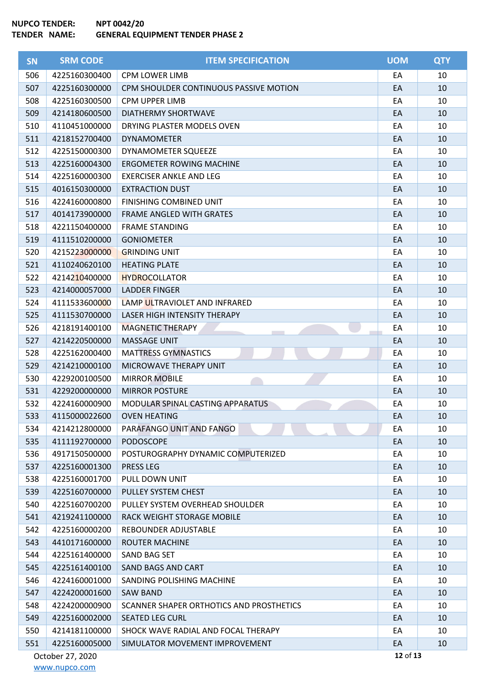| <b>SN</b> | <b>SRM CODE</b>  | <b>ITEM SPECIFICATION</b>                | <b>UOM</b> | <b>QTY</b> |
|-----------|------------------|------------------------------------------|------------|------------|
| 506       | 4225160300400    | <b>CPM LOWER LIMB</b>                    | EA         | 10         |
| 507       | 4225160300000    | CPM SHOULDER CONTINUOUS PASSIVE MOTION   | EA         | 10         |
| 508       | 4225160300500    | <b>CPM UPPER LIMB</b>                    | EA         | 10         |
| 509       | 4214180600500    | DIATHERMY SHORTWAVE                      | EA         | 10         |
| 510       | 4110451000000    | DRYING PLASTER MODELS OVEN               | EA         | 10         |
| 511       | 4218152700400    | <b>DYNAMOMETER</b>                       | EA         | 10         |
| 512       | 4225150000300    | <b>DYNAMOMETER SQUEEZE</b>               | EA         | 10         |
| 513       | 4225160004300    | <b>ERGOMETER ROWING MACHINE</b>          | EA         | 10         |
| 514       | 4225160000300    | <b>EXERCISER ANKLE AND LEG</b>           | EA         | 10         |
| 515       | 4016150300000    | <b>EXTRACTION DUST</b>                   | EA         | 10         |
| 516       | 4224160000800    | FINISHING COMBINED UNIT                  | EA         | 10         |
| 517       | 4014173900000    | <b>FRAME ANGLED WITH GRATES</b>          | EA         | 10         |
| 518       | 4221150400000    | <b>FRAME STANDING</b>                    | EA         | 10         |
| 519       | 4111510200000    | <b>GONIOMETER</b>                        | EA         | 10         |
| 520       | 4215223000000    | <b>GRINDING UNIT</b>                     | EA         | 10         |
| 521       | 4110240620100    | <b>HEATING PLATE</b>                     | EA         | 10         |
| 522       | 4214210400000    | <b>HYDROCOLLATOR</b>                     | EA         | 10         |
| 523       | 4214000057000    | <b>LADDER FINGER</b>                     | EA         | 10         |
| 524       | 4111533600000    | LAMP ULTRAVIOLET AND INFRARED            | EA         | 10         |
| 525       | 4111530700000    | LASER HIGH INTENSITY THERAPY             | EA         | 10         |
| 526       | 4218191400100    | <b>MAGNETIC THERAPY</b>                  | EA         | 10         |
| 527       | 4214220500000    | <b>MASSAGE UNIT</b>                      | EA         | 10         |
| 528       | 4225162000400    | <b>MATTRESS GYMNASTICS</b>               | EA         | 10         |
| 529       | 4214210000100    | MICROWAVE THERAPY UNIT                   | EA         | 10         |
| 530       | 4229200100500    | <b>MIRROR MOBILE</b>                     | EA         | 10         |
| 531       | 4229200000000    | <b>MIRROR POSTURE</b>                    | EA         | 10         |
| 532       | 4224160000900    | MODULAR SPINAL CASTING APPARATUS         | EA         | 10         |
| 533       | 4115000022600    | <b>OVEN HEATING</b>                      | EA         | 10         |
| 534       | 4214212800000    | PARAFANGO UNIT AND FANGO                 | EA         | 10         |
| 535       | 4111192700000    | <b>PODOSCOPE</b>                         | EA         | 10         |
| 536       | 4917150500000    | POSTUROGRAPHY DYNAMIC COMPUTERIZED       | EA         | 10         |
| 537       | 4225160001300    | <b>PRESS LEG</b>                         | EA         | 10         |
| 538       | 4225160001700    | PULL DOWN UNIT                           | EA         | 10         |
| 539       | 4225160700000    | PULLEY SYSTEM CHEST                      | EA         | 10         |
| 540       | 4225160700200    | PULLEY SYSTEM OVERHEAD SHOULDER          | EA         | 10         |
| 541       | 4219241100000    | RACK WEIGHT STORAGE MOBILE               | EA         | 10         |
| 542       | 4225160000200    | REBOUNDER ADJUSTABLE                     | EA         | 10         |
| 543       | 4410171600000    | <b>ROUTER MACHINE</b>                    | EA         | 10         |
| 544       | 4225161400000    | SAND BAG SET                             | EA         | 10         |
| 545       | 4225161400100    | SAND BAGS AND CART                       | EA         | 10         |
| 546       | 4224160001000    | SANDING POLISHING MACHINE                | EA         | 10         |
| 547       | 4224200001600    | <b>SAW BAND</b>                          | EA         | 10         |
| 548       | 4224200000900    | SCANNER SHAPER ORTHOTICS AND PROSTHETICS | EA         | 10         |
| 549       | 4225160002000    | <b>SEATED LEG CURL</b>                   | EA         | 10         |
| 550       | 4214181100000    | SHOCK WAVE RADIAL AND FOCAL THERAPY      | EA         | 10         |
| 551       | 4225160005000    | SIMULATOR MOVEMENT IMPROVEMENT           | EA         | 10         |
|           | October 27, 2020 |                                          | 12 of 13   |            |